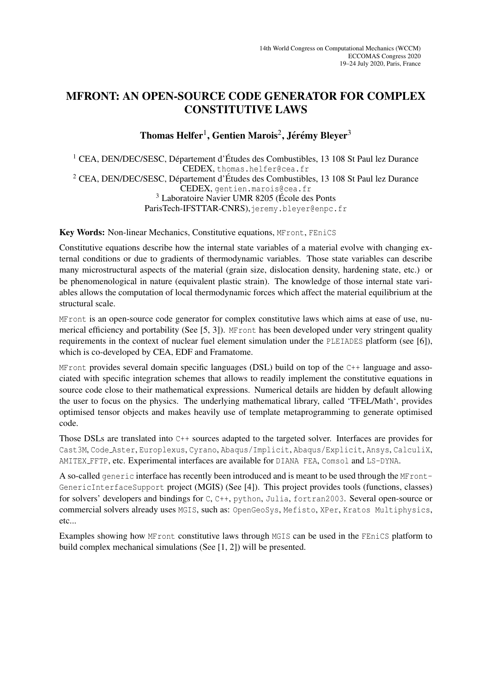## MFRONT: AN OPEN-SOURCE CODE GENERATOR FOR COMPLEX CONSTITUTIVE LAWS

## Thomas Helfer $^1$ , Gentien Marois $^2$ , Jérémy Bleyer $^3$

 $1$  CEA, DEN/DEC/SESC, Département d'Études des Combustibles, 13 108 St Paul lez Durance CEDEX, thomas.helfer@cea.fr  $2$  CEA, DEN/DEC/SESC, Département d'Études des Combustibles, 13 108 St Paul lez Durance CEDEX, gentien.marois@cea.fr  $3$  Laboratoire Navier UMR 8205 (École des Ponts ParisTech-IFSTTAR-CNRS), jeremy.bleyer@enpc.fr

Key Words: Non-linear Mechanics, Constitutive equations, MFront, FEniCS

Constitutive equations describe how the internal state variables of a material evolve with changing external conditions or due to gradients of thermodynamic variables. Those state variables can describe many microstructural aspects of the material (grain size, dislocation density, hardening state, etc.) or be phenomenological in nature (equivalent plastic strain). The knowledge of those internal state variables allows the computation of local thermodynamic forces which affect the material equilibrium at the structural scale.

MFront is an open-source code generator for complex constitutive laws which aims at ease of use, numerical efficiency and portability (See [5, 3]). MFront has been developed under very stringent quality requirements in the context of nuclear fuel element simulation under the PLEIADES platform (see [6]), which is co-developed by CEA, EDF and Framatome.

MFront provides several domain specific languages (DSL) build on top of the C++ language and associated with specific integration schemes that allows to readily implement the constitutive equations in source code close to their mathematical expressions. Numerical details are hidden by default allowing the user to focus on the physics. The underlying mathematical library, called 'TFEL/Math', provides optimised tensor objects and makes heavily use of template metaprogramming to generate optimised code.

Those DSLs are translated into C++ sources adapted to the targeted solver. Interfaces are provides for Cast3M, Code Aster, Europlexus, Cyrano, Abaqus/Implicit, Abaqus/Explicit, Ansys, CalculiX, AMITEX FFTP, etc. Experimental interfaces are available for DIANA FEA, Comsol and LS-DYNA.

A so-called generic interface has recently been introduced and is meant to be used through the MFront-GenericInterfaceSupport project (MGIS) (See [4]). This project provides tools (functions, classes) for solvers' developers and bindings for C, C++, python, Julia, fortran2003. Several open-source or commercial solvers already uses MGIS, such as: OpenGeoSys, Mefisto, XPer, Kratos Multiphysics, etc...

Examples showing how MFront constitutive laws through MGIS can be used in the FEniCS platform to build complex mechanical simulations (See [1, 2]) will be presented.